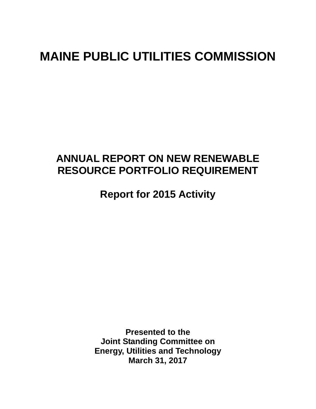# **MAINE PUBLIC UTILITIES COMMISSION**

## **ANNUAL REPORT ON NEW RENEWABLE RESOURCE PORTFOLIO REQUIREMENT**

**Report for 2015 Activity** 

**Presented to the Joint Standing Committee on Energy, Utilities and Technology March 31, 2017**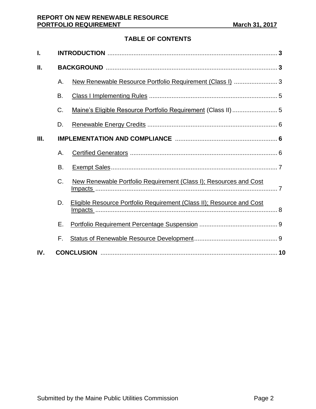## **TABLE OF CONTENTS**

| ı.  |    |                                                                       |  |  |  |
|-----|----|-----------------------------------------------------------------------|--|--|--|
| П.  |    |                                                                       |  |  |  |
|     | Α. | New Renewable Resource Portfolio Requirement (Class I)  3             |  |  |  |
|     | B. |                                                                       |  |  |  |
|     | C. |                                                                       |  |  |  |
|     | D. |                                                                       |  |  |  |
| Ш.  |    |                                                                       |  |  |  |
|     | Α. |                                                                       |  |  |  |
|     | B. |                                                                       |  |  |  |
|     | C. | New Renewable Portfolio Requirement (Class I); Resources and Cost     |  |  |  |
|     | D. | Eligible Resource Portfolio Requirement (Class II); Resource and Cost |  |  |  |
|     | Е. |                                                                       |  |  |  |
|     | F. |                                                                       |  |  |  |
| IV. |    |                                                                       |  |  |  |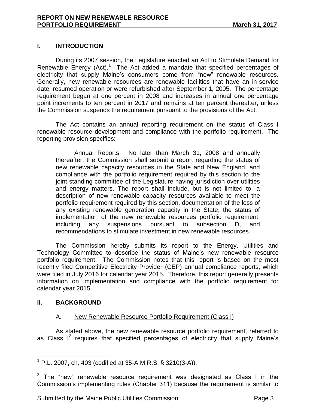## **I. INTRODUCTION**

During its 2007 session, the Legislature enacted an Act to Stimulate Demand for Renewable Energy  $(Act)$ .<sup>1</sup> The Act added a mandate that specified percentages of electricity that supply Maine's consumers come from "new" renewable resources. Generally, new renewable resources are renewable facilities that have an in-service date, resumed operation or were refurbished after September 1, 2005. The percentage requirement began at one percent in 2008 and increases in annual one percentage point increments to ten percent in 2017 and remains at ten percent thereafter, unless the Commission suspends the requirement pursuant to the provisions of the Act.

The Act contains an annual reporting requirement on the status of Class I renewable resource development and compliance with the portfolio requirement. The reporting provision specifies:

Annual Reports. No later than March 31, 2008 and annually thereafter, the Commission shall submit a report regarding the status of new renewable capacity resources in the State and New England, and compliance with the portfolio requirement required by this section to the joint standing committee of the Legislature having jurisdiction over utilities and energy matters. The report shall include, but is not limited to, a description of new renewable capacity resources available to meet the portfolio requirement required by this section, documentation of the loss of any existing renewable generation capacity in the State, the status of implementation of the new renewable resources portfolio requirement, including any suspensions pursuant to subsection D, and recommendations to stimulate investment in new renewable resources.

The Commission hereby submits its report to the Energy, Utilities and Technology Committee to describe the status of Maine's new renewable resource portfolio requirement. The Commission notes that this report is based on the most recently filed Competitive Electricity Provider (CEP) annual compliance reports, which were filed in July 2016 for calendar year 2015. Therefore, this report generally presents information on implementation and compliance with the portfolio requirement for calendar year 2015.

## **II. BACKGROUND**

## A. New Renewable Resource Portfolio Requirement (Class I)

As stated above, the new renewable resource portfolio requirement, referred to as Class  $I^2$  requires that specified percentages of electricity that supply Maine's

 $\overline{a}$ <sup>1</sup> P.L. 2007, ch. 403 (codified at 35-A M.R.S. § 3210(3-A)).

<sup>&</sup>lt;sup>2</sup> The "new" renewable resource requirement was designated as Class I in the Commission's implementing rules (Chapter 311) because the requirement is similar to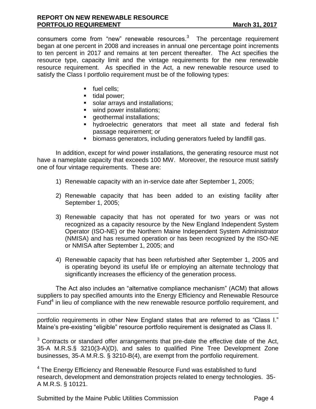consumers come from "new" renewable resources. $3$  The percentage requirement began at one percent in 2008 and increases in annual one percentage point increments to ten percent in 2017 and remains at ten percent thereafter. The Act specifies the resource type, capacity limit and the vintage requirements for the new renewable resource requirement. As specified in the Act, a new renewable resource used to satisfy the Class I portfolio requirement must be of the following types:

- fuel cells:
- $\blacksquare$  tidal power;
- solar arrays and installations;
- wind power installations;
- **qeothermal installations;**
- hydroelectric generators that meet all state and federal fish passage requirement; or
- biomass generators, including generators fueled by landfill gas.

In addition, except for wind power installations, the generating resource must not have a nameplate capacity that exceeds 100 MW. Moreover, the resource must satisfy one of four vintage requirements. These are:

- 1) Renewable capacity with an in-service date after September 1, 2005;
- 2) Renewable capacity that has been added to an existing facility after September 1, 2005;
- 3) Renewable capacity that has not operated for two years or was not recognized as a capacity resource by the New England Independent System Operator (ISO-NE) or the Northern Maine Independent System Administrator (NMISA) and has resumed operation or has been recognized by the ISO-NE or NMISA after September 1, 2005; and
- 4) Renewable capacity that has been refurbished after September 1, 2005 and is operating beyond its useful life or employing an alternate technology that significantly increases the efficiency of the generation process.

The Act also includes an "alternative compliance mechanism" (ACM) that allows suppliers to pay specified amounts into the Energy Efficiency and Renewable Resource Fund $4$  in lieu of compliance with the new renewable resource portfolio requirement, and

portfolio requirements in other New England states that are referred to as "Class I." Maine's pre-existing "eligible" resource portfolio requirement is designated as Class II.

<sup>3</sup> Contracts or standard offer arrangements that pre-date the effective date of the Act, 35-A M.R.S.§ 3210(3-A)(D), and sales to qualified Pine Tree Development Zone businesses, 35-A M.R.S. § 3210-B(4), are exempt from the portfolio requirement.

 $4$  The Energy Efficiency and Renewable Resource Fund was established to fund research, development and demonstration projects related to energy technologies. 35- A M.R.S. § 10121.

Submitted by the Maine Public Utilities Commission **Page 4** Page 4

 $\overline{a}$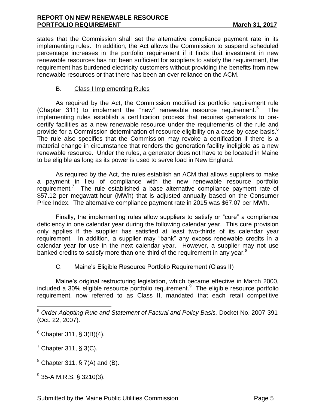states that the Commission shall set the alternative compliance payment rate in its implementing rules. In addition, the Act allows the Commission to suspend scheduled percentage increases in the portfolio requirement if it finds that investment in new renewable resources has not been sufficient for suppliers to satisfy the requirement, the requirement has burdened electricity customers without providing the benefits from new renewable resources or that there has been an over reliance on the ACM.

## B. Class I Implementing Rules

As required by the Act, the Commission modified its portfolio requirement rule (Chapter 311) to implement the "new" renewable resource requirement. $5$  The implementing rules establish a certification process that requires generators to precertify facilities as a new renewable resource under the requirements of the rule and provide for a Commission determination of resource eligibility on a case-by-case basis.<sup>6</sup> The rule also specifies that the Commission may revoke a certification if there is a material change in circumstance that renders the generation facility ineligible as a new renewable resource. Under the rules, a generator does not have to be located in Maine to be eligible as long as its power is used to serve load in New England.

As required by the Act, the rules establish an ACM that allows suppliers to make a payment in lieu of compliance with the new renewable resource portfolio requirement.<sup>7</sup> The rule established a base alternative compliance payment rate of \$57.12 per megawatt-hour (MWh) that is adjusted annually based on the Consumer Price Index. The alternative compliance payment rate in 2015 was \$67.07 per MWh.

Finally, the implementing rules allow suppliers to satisfy or "cure" a compliance deficiency in one calendar year during the following calendar year. This cure provision only applies if the supplier has satisfied at least two-thirds of its calendar year requirement. In addition, a supplier may "bank" any excess renewable credits in a calendar year for use in the next calendar year. However, a supplier may not use banked credits to satisfy more than one-third of the requirement in any year. $8$ 

## C. Maine's Eligible Resource Portfolio Requirement (Class II)

Maine's original restructuring legislation, which became effective in March 2000, included a 30% eligible resource portfolio requirement.<sup>9</sup> The eligible resource portfolio requirement, now referred to as Class II, mandated that each retail competitive

 $\overline{a}$ 

 $^9$  35-A M.R.S. § 3210(3).

<sup>5</sup> *Order Adopting Rule and Statement of Factual and Policy Basis,* Docket No. 2007-391 (Oct. 22, 2007).

 $6$  Chapter 311, § 3(B)(4).

 $<sup>7</sup>$  Chapter 311, § 3(C).</sup>

 $8$  Chapter 311, § 7(A) and (B).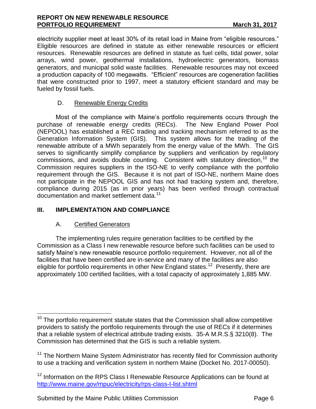#### **REPORT ON NEW RENEWABLE RESOURCE PORTFOLIO REQUIREMENT** March 31, 2017

electricity supplier meet at least 30% of its retail load in Maine from "eligible resources." Eligible resources are defined in statute as either renewable resources or efficient resources. Renewable resources are defined in statute as fuel cells, tidal power, solar arrays, wind power, geothermal installations, hydroelectric generators, biomass generators, and municipal solid waste facilities. Renewable resources may not exceed a production capacity of 100 megawatts. "Efficient" resources are cogeneration facilities that were constructed prior to 1997, meet a statutory efficient standard and may be fueled by fossil fuels.

## D. Renewable Energy Credits

Most of the compliance with Maine's portfolio requirements occurs through the purchase of renewable energy credits (RECs). The New England Power Pool (NEPOOL) has established a REC trading and tracking mechanism referred to as the Generation Information System (GIS). This system allows for the trading of the renewable attribute of a MWh separately from the energy value of the MWh. The GIS serves to significantly simplify compliance by suppliers and verification by regulatory commissions, and avoids double counting. Consistent with statutory direction,  $10$  the Commission requires suppliers in the ISO-NE to verify compliance with the portfolio requirement through the GIS. Because it is not part of ISO-NE, northern Maine does not participate in the NEPOOL GIS and has not had tracking system and, therefore, compliance during 2015 (as in prior years) has been verified through contractual documentation and market settlement data.<sup>11</sup>

## **III. IMPLEMENTATION AND COMPLIANCE**

## A. Certified Generators

 $\overline{a}$ 

The implementing rules require generation facilities to be certified by the Commission as a Class I new renewable resource before such facilities can be used to satisfy Maine's new renewable resource portfolio requirement. However, not all of the facilities that have been certified are in-service and many of the facilities are also eligible for portfolio requirements in other New England states.<sup>12</sup> Presently, there are approximately 100 certified facilities, with a total capacity of approximately 1,885 MW.

Submitted by the Maine Public Utilities Commission **Page 6** Page 6

 $10$  The portfolio requirement statute states that the Commission shall allow competitive providers to satisfy the portfolio requirements through the use of RECs if it determines that a reliable system of electrical attribute trading exists. 35-A M.R.S.§ 3210(8). The Commission has determined that the GIS is such a reliable system.

<sup>&</sup>lt;sup>11</sup> The Northern Maine System Administrator has recently filed for Commission authority to use a tracking and verification system in northern Maine (Docket No. 2017-00050).

 $12$  Information on the RPS Class I Renewable Resource Applications can be found at <http://www.maine.gov/mpuc/electricity/rps-class-I-list.shtml>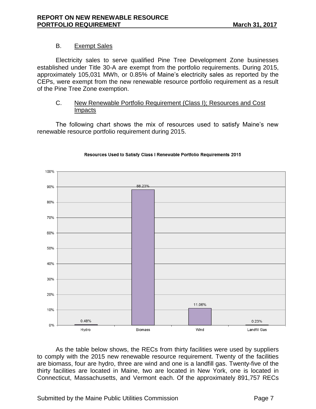## B. Exempt Sales

Electricity sales to serve qualified Pine Tree Development Zone businesses established under Title 30-A are exempt from the portfolio requirements. During 2015, approximately 105,031 MWh, or 0.85% of Maine's electricity sales as reported by the CEPs, were exempt from the new renewable resource portfolio requirement as a result of the Pine Tree Zone exemption.

#### C. New Renewable Portfolio Requirement (Class I); Resources and Cost **Impacts**

The following chart shows the mix of resources used to satisfy Maine's new renewable resource portfolio requirement during 2015.



#### Resources Used to Satisfy Class I Renewable Portfolio Requirements 2015

As the table below shows, the RECs from thirty facilities were used by suppliers to comply with the 2015 new renewable resource requirement. Twenty of the facilities are biomass, four are hydro, three are wind and one is a landfill gas. Twenty-five of the thirty facilities are located in Maine, two are located in New York, one is located in Connecticut, Massachusetts, and Vermont each. Of the approximately 891,757 RECs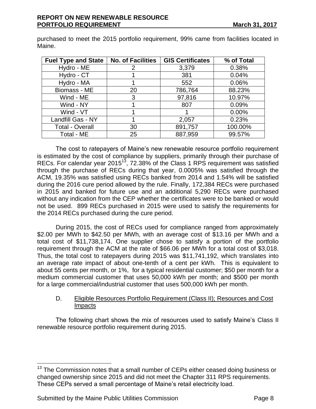| <b>Fuel Type and State</b> | <b>No. of Facilities</b> | <b>GIS Certificates</b> | % of Total |
|----------------------------|--------------------------|-------------------------|------------|
| Hydro - ME                 | 2                        | 3,379                   | 0.38%      |
| Hydro - CT                 |                          | 381                     | 0.04%      |
| Hydro - MA                 |                          | 552                     | 0.06%      |
| Biomass - ME               | 20                       | 786,764                 | 88.23%     |
| Wind - ME                  | 3                        | 97,816                  | 10.97%     |
| Wind - NY                  |                          | 807                     | 0.09%      |
| Wind - VT                  |                          |                         | $0.00\%$   |
| Landfill Gas - NY          |                          | 2,057                   | 0.23%      |
| <b>Total - Overall</b>     | 30                       | 891,757                 | 100.00%    |
| Total - ME                 | 25                       | 887,959                 | 99.57%     |

purchased to meet the 2015 portfolio requirement, 99% came from facilities located in Maine.

The cost to ratepayers of Maine's new renewable resource portfolio requirement is estimated by the cost of compliance by suppliers, primarily through their purchase of RECs. For calendar year 2015 $<sup>13</sup>$ , 72.38% of the Class 1 RPS requirement was satisfied</sup> through the purchase of RECs during that year, 0.0005% was satisfied through the ACM, 19.35% was satisfied using RECs banked from 2014 and 1.54% will be satisfied during the 2016 cure period allowed by the rule. Finally, 172,384 RECs were purchased in 2015 and banked for future use and an additional 5,290 RECs were purchased without any indication from the CEP whether the certificates were to be banked or would not be used. 899 RECs purchased in 2015 were used to satisfy the requirements for the 2014 RECs purchased during the cure period.

During 2015, the cost of RECs used for compliance ranged from approximately \$2.00 per MWh to \$42.50 per MWh, with an average cost of \$13.16 per MWh and a total cost of \$11,738,174. One supplier chose to satisfy a portion of the portfolio requirement through the ACM at the rate of \$66.06 per MWh for a total cost of \$3,018. Thus, the total cost to ratepayers during 2015 was \$11,741,192, which translates into an average rate impact of about one-tenth of a cent per kWh. This is equivalent to about 55 cents per month, or 1%, for a typical residential customer; \$50 per month for a medium commercial customer that uses 50,000 kWh per month; and \$500 per month for a large commercial/industrial customer that uses 500,000 kWh per month.

## D. Eligible Resources Portfolio Requirement (Class II); Resources and Cost **Impacts**

The following chart shows the mix of resources used to satisfy Maine's Class II renewable resource portfolio requirement during 2015.

 $\overline{a}$ 

<sup>&</sup>lt;sup>13</sup> The Commission notes that a small number of CEPs either ceased doing business or changed ownership since 2015 and did not meet the Chapter 311 RPS requirements. These CEPs served a small percentage of Maine's retail electricity load.

Submitted by the Maine Public Utilities Commission **Page 8** Page 8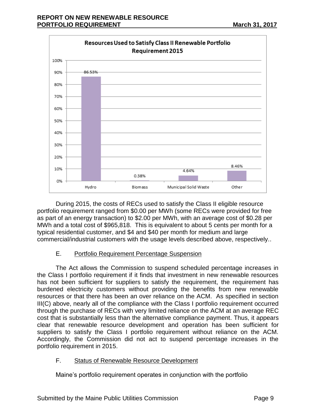

During 2015, the costs of RECs used to satisfy the Class II eligible resource portfolio requirement ranged from \$0.00 per MWh (some RECs were provided for free as part of an energy transaction) to \$2.00 per MWh, with an average cost of \$0.28 per MWh and a total cost of \$965,818. This is equivalent to about 5 cents per month for a typical residential customer, and \$4 and \$40 per month for medium and large commercial/industrial customers with the usage levels described above, respectively..

## E. Portfolio Requirement Percentage Suspension

The Act allows the Commission to suspend scheduled percentage increases in the Class I portfolio requirement if it finds that investment in new renewable resources has not been sufficient for suppliers to satisfy the requirement, the requirement has burdened electricity customers without providing the benefits from new renewable resources or that there has been an over reliance on the ACM. As specified in section III(C) above, nearly all of the compliance with the Class I portfolio requirement occurred through the purchase of RECs with very limited reliance on the ACM at an average REC cost that is substantially less than the alternative compliance payment. Thus, it appears clear that renewable resource development and operation has been sufficient for suppliers to satisfy the Class I portfolio requirement without reliance on the ACM. Accordingly, the Commission did not act to suspend percentage increases in the portfolio requirement in 2015.

## F. Status of Renewable Resource Development

Maine's portfolio requirement operates in conjunction with the portfolio